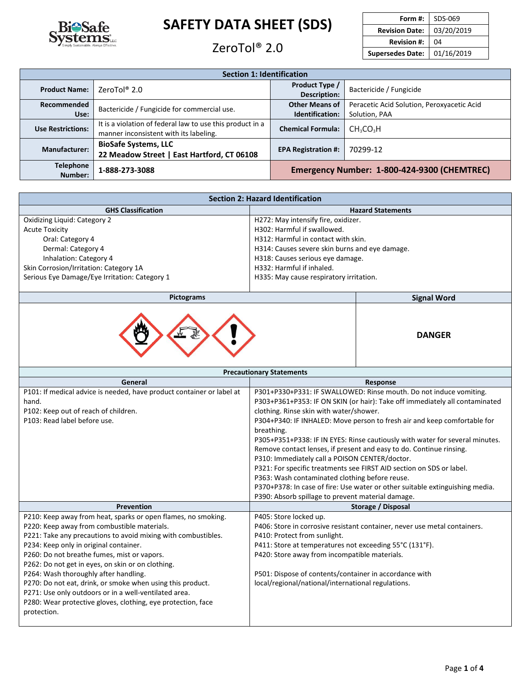

## ZeroTol<sup>®</sup> 2.0

| Form #:                 | SDS-069    |  |
|-------------------------|------------|--|
| <b>Revision Date:</b>   | 03/20/2019 |  |
| <b>Revision #:</b>      | 04         |  |
| <b>Supersedes Date:</b> | 01/16/2019 |  |

| <b>Section 1: Identification</b>                                                                  |                                                                                                     |                                             |                                   |  |
|---------------------------------------------------------------------------------------------------|-----------------------------------------------------------------------------------------------------|---------------------------------------------|-----------------------------------|--|
| <b>Product Name:</b>                                                                              | Product Type /<br>ZeroTol $^{\circ}$ 2.0<br>Bactericide / Fungicide<br>Description:                 |                                             |                                   |  |
| Recommended<br>Use:                                                                               | Bactericide / Fungicide for commercial use.                                                         | <b>Other Means of</b><br>Identification:    |                                   |  |
| <b>Use Restrictions:</b>                                                                          | It is a violation of federal law to use this product in a<br>manner inconsistent with its labeling. | <b>Chemical Formula:</b>                    | CH <sub>3</sub> CO <sub>3</sub> H |  |
| <b>BioSafe Systems, LLC</b><br><b>Manufacturer:</b><br>22 Meadow Street   East Hartford, CT 06108 |                                                                                                     | <b>EPA Registration #:</b>                  | 70299-12                          |  |
| <b>Telephone</b><br>Number:                                                                       | 1-888-273-3088                                                                                      | Emergency Number: 1-800-424-9300 (CHEMTREC) |                                   |  |

| <b>Section 2: Hazard Identification</b>       |                                                |  |  |
|-----------------------------------------------|------------------------------------------------|--|--|
| <b>GHS Classification</b>                     | <b>Hazard Statements</b>                       |  |  |
| Oxidizing Liquid: Category 2                  | H272: May intensify fire, oxidizer.            |  |  |
| <b>Acute Toxicity</b>                         | H302: Harmful if swallowed.                    |  |  |
| Oral: Category 4                              | H312: Harmful in contact with skin.            |  |  |
| Dermal: Category 4                            | H314: Causes severe skin burns and eye damage. |  |  |
| Inhalation: Category 4                        | H318: Causes serious eye damage.               |  |  |
| Skin Corrosion/Irritation: Category 1A        | H332: Harmful if inhaled.                      |  |  |
| Serious Eye Damage/Eye Irritation: Category 1 | H335: May cause respiratory irritation.        |  |  |
|                                               |                                                |  |  |

| Pictograms | <b>Signal Word</b> |
|------------|--------------------|
| €          | <b>DANGER</b>      |

| <b>Precautionary Statements</b>                                                                                                                                                                                                                                                                                                                                                                                                                                                                                                                                            |                                                                                                                                                                                                                                                                                                                                                                                                                                                                                                                                                                                                                                                                                                                                                                |  |  |
|----------------------------------------------------------------------------------------------------------------------------------------------------------------------------------------------------------------------------------------------------------------------------------------------------------------------------------------------------------------------------------------------------------------------------------------------------------------------------------------------------------------------------------------------------------------------------|----------------------------------------------------------------------------------------------------------------------------------------------------------------------------------------------------------------------------------------------------------------------------------------------------------------------------------------------------------------------------------------------------------------------------------------------------------------------------------------------------------------------------------------------------------------------------------------------------------------------------------------------------------------------------------------------------------------------------------------------------------------|--|--|
| General                                                                                                                                                                                                                                                                                                                                                                                                                                                                                                                                                                    | Response                                                                                                                                                                                                                                                                                                                                                                                                                                                                                                                                                                                                                                                                                                                                                       |  |  |
| P101: If medical advice is needed, have product container or label at<br>hand.<br>P102: Keep out of reach of children.<br>P103: Read label before use.                                                                                                                                                                                                                                                                                                                                                                                                                     | P301+P330+P331: IF SWALLOWED: Rinse mouth. Do not induce vomiting.<br>P303+P361+P353: IF ON SKIN (or hair): Take off immediately all contaminated<br>clothing. Rinse skin with water/shower.<br>P304+P340: IF INHALED: Move person to fresh air and keep comfortable for<br>breathing.<br>P305+P351+P338: IF IN EYES: Rinse cautiously with water for several minutes.<br>Remove contact lenses, if present and easy to do. Continue rinsing.<br>P310: Immediately call a POISON CENTER/doctor.<br>P321: For specific treatments see FIRST AID section on SDS or label.<br>P363: Wash contaminated clothing before reuse.<br>P370+P378: In case of fire: Use water or other suitable extinguishing media.<br>P390: Absorb spillage to prevent material damage. |  |  |
| Prevention                                                                                                                                                                                                                                                                                                                                                                                                                                                                                                                                                                 | Storage / Disposal                                                                                                                                                                                                                                                                                                                                                                                                                                                                                                                                                                                                                                                                                                                                             |  |  |
| P210: Keep away from heat, sparks or open flames, no smoking.<br>P220: Keep away from combustible materials.<br>P221: Take any precautions to avoid mixing with combustibles.<br>P234: Keep only in original container.<br>P260: Do not breathe fumes, mist or vapors.<br>P262: Do not get in eyes, on skin or on clothing.<br>P264: Wash thoroughly after handling.<br>P270: Do not eat, drink, or smoke when using this product.<br>P271: Use only outdoors or in a well-ventilated area.<br>P280: Wear protective gloves, clothing, eye protection, face<br>protection. | P405: Store locked up.<br>P406: Store in corrosive resistant container, never use metal containers.<br>P410: Protect from sunlight.<br>P411: Store at temperatures not exceeding 55°C (131°F).<br>P420: Store away from incompatible materials.<br>P501: Dispose of contents/container in accordance with<br>local/regional/national/international regulations.                                                                                                                                                                                                                                                                                                                                                                                                |  |  |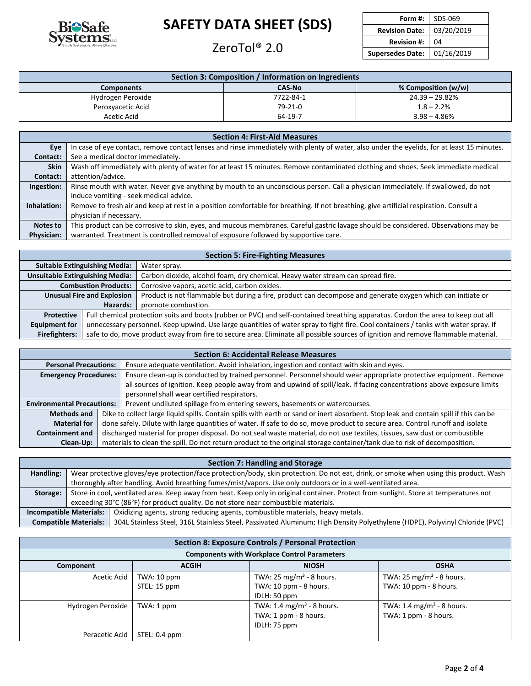

## ZeroTol® 2.0 **Revision #:** <sup>04</sup>

| Form #:                 | SDS-069    |  |
|-------------------------|------------|--|
| <b>Revision Date:</b>   | 03/20/2019 |  |
| <b>Revision #:</b>      | 04         |  |
| <b>Supersedes Date:</b> | 01/16/2019 |  |

| Section 3: Composition / Information on Ingredients       |           |                |  |  |  |
|-----------------------------------------------------------|-----------|----------------|--|--|--|
| % Composition (w/w)<br><b>CAS-No</b><br><b>Components</b> |           |                |  |  |  |
| Hydrogen Peroxide                                         | 7722-84-1 | 24.39 – 29.82% |  |  |  |
| Peroxyacetic Acid                                         | 79-21-0   | $1.8 - 2.2%$   |  |  |  |
| Acetic Acid                                               | 64-19-7   | $3.98 - 4.86%$ |  |  |  |

| <b>Section 4: First-Aid Measures</b> |                                                                                                                                            |  |  |
|--------------------------------------|--------------------------------------------------------------------------------------------------------------------------------------------|--|--|
| Eye                                  | In case of eye contact, remove contact lenses and rinse immediately with plenty of water, also under the eyelids, for at least 15 minutes. |  |  |
| Contact:                             | See a medical doctor immediately.                                                                                                          |  |  |
| <b>Skin</b>                          | Wash off immediately with plenty of water for at least 15 minutes. Remove contaminated clothing and shoes. Seek immediate medical          |  |  |
| Contact:                             | attention/advice.                                                                                                                          |  |  |
| Ingestion:                           | Rinse mouth with water. Never give anything by mouth to an unconscious person. Call a physician immediately. If swallowed, do not          |  |  |
|                                      | induce vomiting - seek medical advice.                                                                                                     |  |  |
| Inhalation:                          | Remove to fresh air and keep at rest in a position comfortable for breathing. If not breathing, give artificial respiration. Consult a     |  |  |
|                                      | physician if necessary.                                                                                                                    |  |  |
| Notes to                             | This product can be corrosive to skin, eyes, and mucous membranes. Careful gastric lavage should be considered. Observations may be        |  |  |
| <b>Physician:</b>                    | warranted. Treatment is controlled removal of exposure followed by supportive care.                                                        |  |  |

| <b>Section 5: Fire-Fighting Measures</b>                                                                                  |                                                                                                                                     |                                                                                                             |  |  |
|---------------------------------------------------------------------------------------------------------------------------|-------------------------------------------------------------------------------------------------------------------------------------|-------------------------------------------------------------------------------------------------------------|--|--|
| <b>Suitable Extinguishing Media:</b>                                                                                      |                                                                                                                                     | Water spray.                                                                                                |  |  |
| <b>Unsuitable Extinguishing Media:</b><br>Carbon dioxide, alcohol foam, dry chemical. Heavy water stream can spread fire. |                                                                                                                                     |                                                                                                             |  |  |
| <b>Combustion Products:</b><br>Corrosive vapors, acetic acid, carbon oxides.                                              |                                                                                                                                     |                                                                                                             |  |  |
| <b>Unusual Fire and Explosion</b>                                                                                         |                                                                                                                                     | Product is not flammable but during a fire, product can decompose and generate oxygen which can initiate or |  |  |
| Hazards:                                                                                                                  |                                                                                                                                     | promote combustion.                                                                                         |  |  |
| <b>Protective</b>                                                                                                         | Full chemical protection suits and boots (rubber or PVC) and self-contained breathing apparatus. Cordon the area to keep out all    |                                                                                                             |  |  |
| <b>Equipment for</b>                                                                                                      | unnecessary personnel. Keep upwind. Use large quantities of water spray to fight fire. Cool containers / tanks with water spray. If |                                                                                                             |  |  |
| <b>Firefighters:</b>                                                                                                      | safe to do, move product away from fire to secure area. Eliminate all possible sources of ignition and remove flammable material.   |                                                                                                             |  |  |

| <b>Section 6: Accidental Release Measures</b>                                                                    |                                                                                                                                       |                                                                                                                         |  |  |
|------------------------------------------------------------------------------------------------------------------|---------------------------------------------------------------------------------------------------------------------------------------|-------------------------------------------------------------------------------------------------------------------------|--|--|
|                                                                                                                  | Ensure adequate ventilation. Avoid inhalation, ingestion and contact with skin and eyes.<br><b>Personal Precautions:</b>              |                                                                                                                         |  |  |
| <b>Emergency Procedures:</b>                                                                                     |                                                                                                                                       | Ensure clean-up is conducted by trained personnel. Personnel should wear appropriate protective equipment. Remove       |  |  |
|                                                                                                                  |                                                                                                                                       | all sources of ignition. Keep people away from and upwind of spill/leak. If facing concentrations above exposure limits |  |  |
|                                                                                                                  |                                                                                                                                       | personnel shall wear certified respirators.                                                                             |  |  |
| Prevent undiluted spillage from entering sewers, basements or watercourses.<br><b>Environmental Precautions:</b> |                                                                                                                                       |                                                                                                                         |  |  |
| <b>Methods and</b>                                                                                               | Dike to collect large liquid spills. Contain spills with earth or sand or inert absorbent. Stop leak and contain spill if this can be |                                                                                                                         |  |  |
| <b>Material for</b>                                                                                              | done safely. Dilute with large quantities of water. If safe to do so, move product to secure area. Control runoff and isolate         |                                                                                                                         |  |  |
| <b>Containment and</b>                                                                                           | discharged material for proper disposal. Do not seal waste material, do not use textiles, tissues, saw dust or combustible            |                                                                                                                         |  |  |
| Clean-Up:                                                                                                        | materials to clean the spill. Do not return product to the original storage container/tank due to risk of decomposition.              |                                                                                                                         |  |  |

| Section 7: Handling and Storage                                                                                                                             |  |  |  |  |
|-------------------------------------------------------------------------------------------------------------------------------------------------------------|--|--|--|--|
| Wear protective gloves/eye protection/face protection/body, skin protection. Do not eat, drink, or smoke when using this product. Wash                      |  |  |  |  |
| thoroughly after handling. Avoid breathing fumes/mist/vapors. Use only outdoors or in a well-ventilated area.                                               |  |  |  |  |
| Store in cool, ventilated area. Keep away from heat. Keep only in original container. Protect from sunlight. Store at temperatures not<br>Storage:          |  |  |  |  |
| exceeding 30°C (86°F) for product quality. Do not store near combustible materials.                                                                         |  |  |  |  |
| Oxidizing agents, strong reducing agents, combustible materials, heavy metals.<br><b>Incompatible Materials:</b>                                            |  |  |  |  |
| <b>Compatible Materials:</b><br>304L Stainless Steel, 316L Stainless Steel, Passivated Aluminum; High Density Polyethylene (HDPE), Polyvinyl Chloride (PVC) |  |  |  |  |
|                                                                                                                                                             |  |  |  |  |

| <b>Section 8: Exposure Controls / Personal Protection</b> |                                             |                                                                                |                                                                |  |  |  |
|-----------------------------------------------------------|---------------------------------------------|--------------------------------------------------------------------------------|----------------------------------------------------------------|--|--|--|
| <b>Components with Workplace Control Parameters</b>       |                                             |                                                                                |                                                                |  |  |  |
| Component                                                 | <b>ACGIH</b><br><b>NIOSH</b><br><b>OSHA</b> |                                                                                |                                                                |  |  |  |
| Acetic Acid                                               | $TWA:10$ ppm<br>STEL: 15 ppm                | TWA: 25 mg/m <sup>3</sup> - 8 hours.<br>TWA: 10 ppm - 8 hours.<br>IDLH: 50 ppm | TWA: 25 mg/m <sup>3</sup> - 8 hours.<br>TWA: 10 ppm - 8 hours. |  |  |  |
| Hydrogen Peroxide                                         | TWA: 1 ppm                                  | TWA: 1.4 mg/m <sup>3</sup> - 8 hours.<br>TWA: 1 ppm - 8 hours.<br>IDLH: 75 ppm | TWA: 1.4 mg/m <sup>3</sup> - 8 hours.<br>TWA: 1 ppm - 8 hours. |  |  |  |
| Peracetic Acid                                            | STEL: 0.4 ppm                               |                                                                                |                                                                |  |  |  |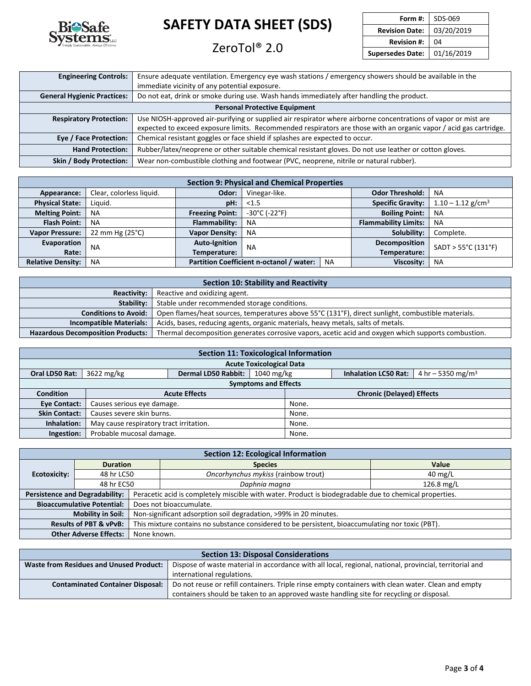

### ZeroTol<sup>®</sup> 2.0

| SDS-069    |
|------------|
| 03/20/2019 |
| 04         |
| 01/16/2019 |
|            |

| <b>Engineering Controls:</b>                                                                                                    | Ensure adequate ventilation. Emergency eye wash stations / emergency showers should be available in the           |  |  |  |  |  |  |
|---------------------------------------------------------------------------------------------------------------------------------|-------------------------------------------------------------------------------------------------------------------|--|--|--|--|--|--|
|                                                                                                                                 | immediate vicinity of any potential exposure.                                                                     |  |  |  |  |  |  |
| Do not eat, drink or smoke during use. Wash hands immediately after handling the product.<br><b>General Hygienic Practices:</b> |                                                                                                                   |  |  |  |  |  |  |
|                                                                                                                                 | <b>Personal Protective Equipment</b>                                                                              |  |  |  |  |  |  |
| <b>Respiratory Protection:</b>                                                                                                  | Use NIOSH-approved air-purifying or supplied air respirator where airborne concentrations of vapor or mist are    |  |  |  |  |  |  |
|                                                                                                                                 | expected to exceed exposure limits. Recommended respirators are those with an organic vapor / acid gas cartridge. |  |  |  |  |  |  |
| Eye / Face Protection:                                                                                                          | Chemical resistant goggles or face shield if splashes are expected to occur.                                      |  |  |  |  |  |  |
| <b>Hand Protection:</b>                                                                                                         | Rubber/latex/neoprene or other suitable chemical resistant gloves. Do not use leather or cotton gloves.           |  |  |  |  |  |  |
| <b>Skin / Body Protection:</b>                                                                                                  | Wear non-combustible clothing and footwear (PVC, neoprene, nitrile or natural rubber).                            |  |  |  |  |  |  |

| <b>Section 9: Physical and Chemical Properties</b> |                          |                        |                                          |           |                        |                     |                             |           |  |  |  |  |  |  |  |  |  |  |                          |                                 |
|----------------------------------------------------|--------------------------|------------------------|------------------------------------------|-----------|------------------------|---------------------|-----------------------------|-----------|--|--|--|--|--|--|--|--|--|--|--------------------------|---------------------------------|
| Appearance:                                        | Clear, colorless liquid. | Odor:                  | Vinegar-like.                            |           | <b>Odor Threshold:</b> | <b>NA</b>           |                             |           |  |  |  |  |  |  |  |  |  |  |                          |                                 |
| <b>Physical State:</b>                             | Liauid.                  | pH:                    | < 1.5                                    |           |                        |                     |                             |           |  |  |  |  |  |  |  |  |  |  | <b>Specific Gravity:</b> | $1.10 - 1.12$ g/cm <sup>3</sup> |
| <b>Melting Point:</b>                              | <b>NA</b>                | <b>Freezing Point:</b> | -30°C (-22°F)                            |           | <b>Boiling Point:</b>  | <b>NA</b>           |                             |           |  |  |  |  |  |  |  |  |  |  |                          |                                 |
| <b>Flash Point:</b>                                | <b>NA</b>                | Flammability:          | <b>NA</b>                                |           |                        |                     | <b>Flammability Limits:</b> | <b>NA</b> |  |  |  |  |  |  |  |  |  |  |                          |                                 |
| <b>Vapor Pressure:</b>                             | 22 mm Hg $(25^{\circ}C)$ | <b>Vapor Density:</b>  | ΝA                                       |           |                        |                     | Solubility:                 | Complete. |  |  |  |  |  |  |  |  |  |  |                          |                                 |
| Evaporation                                        | <b>NA</b>                | <b>Auto-Ignition</b>   | <b>NA</b>                                |           | Decomposition          | SADT > 55°C (131°F) |                             |           |  |  |  |  |  |  |  |  |  |  |                          |                                 |
| Rate:                                              |                          | Temperature:           |                                          |           | Temperature:           |                     |                             |           |  |  |  |  |  |  |  |  |  |  |                          |                                 |
| <b>Relative Density:</b>                           | NA.                      |                        | Partition Coefficient n-octanol / water: | <b>NA</b> | Viscosity:             | <b>NA</b>           |                             |           |  |  |  |  |  |  |  |  |  |  |                          |                                 |

| Section 10: Stability and Reactivity                                                                               |                                                                                                     |  |  |  |  |  |
|--------------------------------------------------------------------------------------------------------------------|-----------------------------------------------------------------------------------------------------|--|--|--|--|--|
| Reactivity:                                                                                                        | Reactive and oxidizing agent.                                                                       |  |  |  |  |  |
| Stable under recommended storage conditions.<br>Stability:                                                         |                                                                                                     |  |  |  |  |  |
| <b>Conditions to Avoid:</b>                                                                                        | Open flames/heat sources, temperatures above 55°C (131°F), direct sunlight, combustible materials.  |  |  |  |  |  |
| <b>Incompatible Materials:</b><br>Acids, bases, reducing agents, organic materials, heavy metals, salts of metals. |                                                                                                     |  |  |  |  |  |
| <b>Hazardous Decomposition Products:</b>                                                                           | Thermal decomposition generates corrosive vapors, acetic acid and oxygen which supports combustion. |  |  |  |  |  |

| <b>Section 11: Toxicological Information</b> |                                         |                            |                                  |                             |                               |  |  |  |  |
|----------------------------------------------|-----------------------------------------|----------------------------|----------------------------------|-----------------------------|-------------------------------|--|--|--|--|
| <b>Acute Toxicological Data</b>              |                                         |                            |                                  |                             |                               |  |  |  |  |
| Oral LD50 Rat:                               | 3622 mg/kg                              | <b>Dermal LD50 Rabbit:</b> | 1040 mg/kg                       | <b>Inhalation LC50 Rat:</b> | 4 hr – 5350 mg/m <sup>3</sup> |  |  |  |  |
| <b>Symptoms and Effects</b>                  |                                         |                            |                                  |                             |                               |  |  |  |  |
| <b>Condition</b>                             |                                         | <b>Acute Effects</b>       | <b>Chronic (Delayed) Effects</b> |                             |                               |  |  |  |  |
| <b>Eve Contact:</b>                          | Causes serious eye damage.              |                            | None.                            |                             |                               |  |  |  |  |
| <b>Skin Contact:</b>                         | Causes severe skin burns.               |                            | None.                            |                             |                               |  |  |  |  |
| Inhalation:                                  | May cause respiratory tract irritation. |                            | None.                            |                             |                               |  |  |  |  |
| Ingestion:                                   | Probable mucosal damage.                |                            | None.                            |                             |                               |  |  |  |  |

| <b>Section 12: Ecological Information</b>                                                                                             |                                       |                                                                  |                                                                                                        |                   |  |  |  |  |
|---------------------------------------------------------------------------------------------------------------------------------------|---------------------------------------|------------------------------------------------------------------|--------------------------------------------------------------------------------------------------------|-------------------|--|--|--|--|
|                                                                                                                                       | <b>Duration</b>                       |                                                                  | <b>Species</b>                                                                                         | Value             |  |  |  |  |
| Ecotoxicity:                                                                                                                          | 48 hr LC50                            |                                                                  | Oncorhynchus mykiss (rainbow trout)                                                                    | $40 \text{ mg/L}$ |  |  |  |  |
|                                                                                                                                       | 48 hr EC50                            |                                                                  | Daphnia magna                                                                                          | 126.8 mg/L        |  |  |  |  |
|                                                                                                                                       | <b>Persistence and Degradability:</b> |                                                                  | Peracetic acid is completely miscible with water. Product is biodegradable due to chemical properties. |                   |  |  |  |  |
| <b>Bioaccumulative Potential:</b>                                                                                                     |                                       |                                                                  | Does not bioaccumulate.                                                                                |                   |  |  |  |  |
|                                                                                                                                       | <b>Mobility in Soil:</b>              | Non-significant adsorption soil degradation, >99% in 20 minutes. |                                                                                                        |                   |  |  |  |  |
| This mixture contains no substance considered to be persistent, bioaccumulating nor toxic (PBT).<br><b>Results of PBT &amp; vPvB:</b> |                                       |                                                                  |                                                                                                        |                   |  |  |  |  |
| <b>Other Adverse Effects:</b><br>None known.                                                                                          |                                       |                                                                  |                                                                                                        |                   |  |  |  |  |

| <b>Section 13: Disposal Considerations</b>                                                                                                                |                                                                                                    |  |  |  |  |
|-----------------------------------------------------------------------------------------------------------------------------------------------------------|----------------------------------------------------------------------------------------------------|--|--|--|--|
| Dispose of waste material in accordance with all local, regional, national, provincial, territorial and<br><b>Waste from Residues and Unused Product:</b> |                                                                                                    |  |  |  |  |
| international regulations.                                                                                                                                |                                                                                                    |  |  |  |  |
| <b>Contaminated Container Disposal:</b>                                                                                                                   | Do not reuse or refill containers. Triple rinse empty containers with clean water. Clean and empty |  |  |  |  |
|                                                                                                                                                           | containers should be taken to an approved waste handling site for recycling or disposal.           |  |  |  |  |